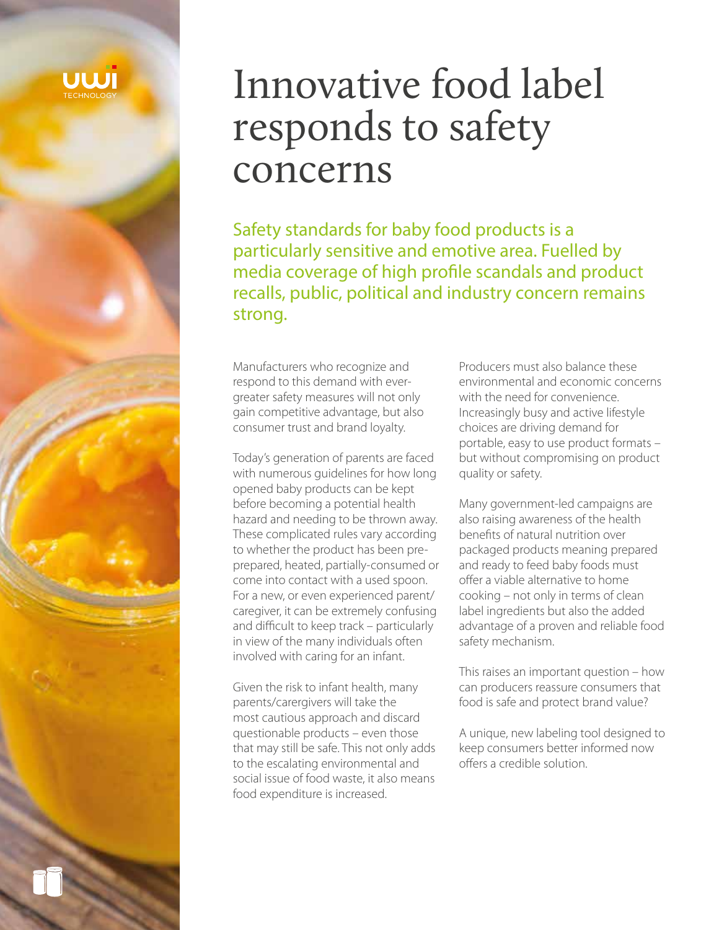

# Innovative food label responds to safety concerns

Safety standards for baby food products is a particularly sensitive and emotive area. Fuelled by media coverage of high profile scandals and product recalls, public, political and industry concern remains strong.

Manufacturers who recognize and respond to this demand with evergreater safety measures will not only gain competitive advantage, but also consumer trust and brand loyalty.

Today's generation of parents are faced with numerous guidelines for how long opened baby products can be kept before becoming a potential health hazard and needing to be thrown away. These complicated rules vary according to whether the product has been preprepared, heated, partially-consumed or come into contact with a used spoon. For a new, or even experienced parent/ caregiver, it can be extremely confusing and difficult to keep track – particularly in view of the many individuals often involved with caring for an infant.

Given the risk to infant health, many parents/carergivers will take the most cautious approach and discard questionable products – even those that may still be safe. This not only adds to the escalating environmental and social issue of food waste, it also means food expenditure is increased.

Producers must also balance these environmental and economic concerns with the need for convenience. Increasingly busy and active lifestyle choices are driving demand for portable, easy to use product formats – but without compromising on product quality or safety.

Many government-led campaigns are also raising awareness of the health benefits of natural nutrition over packaged products meaning prepared and ready to feed baby foods must offer a viable alternative to home cooking – not only in terms of clean label ingredients but also the added advantage of a proven and reliable food safety mechanism.

This raises an important question – how can producers reassure consumers that food is safe and protect brand value?

A unique, new labeling tool designed to keep consumers better informed now offers a credible solution.